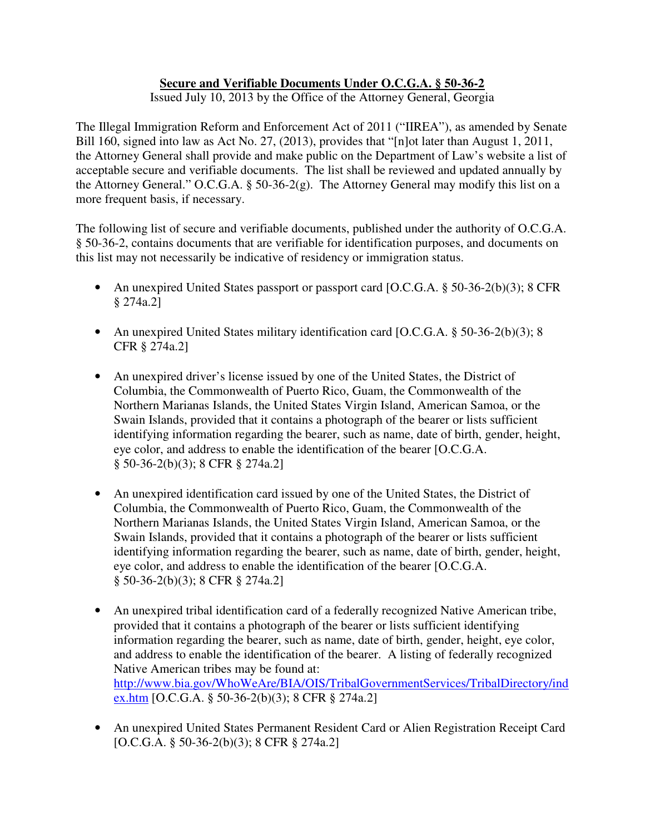## **Secure and Verifiable Documents Under O.C.G.A. § 50-36-2**

Issued July 10, 2013 by the Office of the Attorney General, Georgia

The Illegal Immigration Reform and Enforcement Act of 2011 ("IIREA"), as amended by Senate Bill 160, signed into law as Act No. 27, (2013), provides that "[n]ot later than August 1, 2011, the Attorney General shall provide and make public on the Department of Law's website a list of acceptable secure and verifiable documents. The list shall be reviewed and updated annually by the Attorney General." O.C.G.A. § 50-36-2(g). The Attorney General may modify this list on a more frequent basis, if necessary.

The following list of secure and verifiable documents, published under the authority of O.C.G.A. § 50-36-2, contains documents that are verifiable for identification purposes, and documents on this list may not necessarily be indicative of residency or immigration status.

- An unexpired United States passport or passport card [O.C.G.A. § 50-36-2(b)(3); 8 CFR § 274a.2]
- An unexpired United States military identification card [O.C.G.A. § 50-36-2(b)(3); 8 CFR § 274a.2]
- An unexpired driver's license issued by one of the United States, the District of Columbia, the Commonwealth of Puerto Rico, Guam, the Commonwealth of the Northern Marianas Islands, the United States Virgin Island, American Samoa, or the Swain Islands, provided that it contains a photograph of the bearer or lists sufficient identifying information regarding the bearer, such as name, date of birth, gender, height, eye color, and address to enable the identification of the bearer [O.C.G.A. § 50-36-2(b)(3); 8 CFR § 274a.2]
- An unexpired identification card issued by one of the United States, the District of Columbia, the Commonwealth of Puerto Rico, Guam, the Commonwealth of the Northern Marianas Islands, the United States Virgin Island, American Samoa, or the Swain Islands, provided that it contains a photograph of the bearer or lists sufficient identifying information regarding the bearer, such as name, date of birth, gender, height, eye color, and address to enable the identification of the bearer [O.C.G.A. § 50-36-2(b)(3); 8 CFR § 274a.2]
- An unexpired tribal identification card of a federally recognized Native American tribe, provided that it contains a photograph of the bearer or lists sufficient identifying information regarding the bearer, such as name, date of birth, gender, height, eye color, and address to enable the identification of the bearer. A listing of federally recognized Native American tribes may be found at: http://www.bia.gov/WhoWeAre/BIA/OIS/TribalGovernmentServices/TribalDirectory/ind ex.htm [O.C.G.A. § 50-36-2(b)(3); 8 CFR § 274a.2]
- An unexpired United States Permanent Resident Card or Alien Registration Receipt Card [O.C.G.A. § 50-36-2(b)(3); 8 CFR § 274a.2]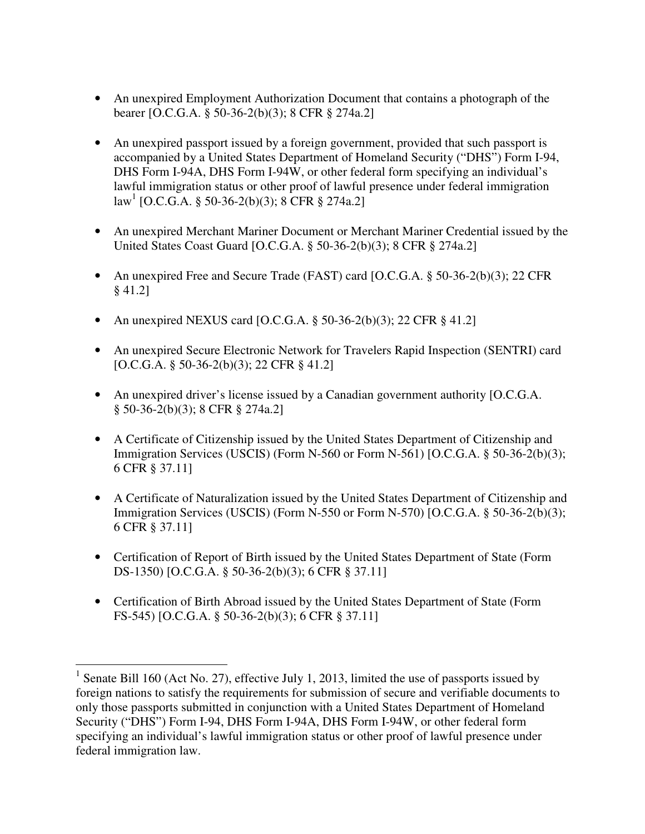- An unexpired Employment Authorization Document that contains a photograph of the bearer [O.C.G.A. § 50-36-2(b)(3); 8 CFR § 274a.2]
- An unexpired passport issued by a foreign government, provided that such passport is accompanied by a United States Department of Homeland Security ("DHS") Form I-94, DHS Form I-94A, DHS Form I-94W, or other federal form specifying an individual's lawful immigration status or other proof of lawful presence under federal immigration law<sup>1</sup> [O.C.G.A. § 50-36-2(b)(3); 8 CFR § 274a.2]
- An unexpired Merchant Mariner Document or Merchant Mariner Credential issued by the United States Coast Guard [O.C.G.A. § 50-36-2(b)(3); 8 CFR § 274a.2]
- An unexpired Free and Secure Trade (FAST) card [O.C.G.A. § 50-36-2(b)(3); 22 CFR § 41.2]
- An unexpired NEXUS card [O.C.G.A.  $\S$  50-36-2(b)(3); 22 CFR  $\S$  41.2]
- An unexpired Secure Electronic Network for Travelers Rapid Inspection (SENTRI) card [O.C.G.A. § 50-36-2(b)(3); 22 CFR § 41.2]
- An unexpired driver's license issued by a Canadian government authority [O.C.G.A. § 50-36-2(b)(3); 8 CFR § 274a.2]
- A Certificate of Citizenship issued by the United States Department of Citizenship and Immigration Services (USCIS) (Form N-560 or Form N-561) [O.C.G.A. § 50-36-2(b)(3); 6 CFR § 37.11]
- A Certificate of Naturalization issued by the United States Department of Citizenship and Immigration Services (USCIS) (Form N-550 or Form N-570) [O.C.G.A. § 50-36-2(b)(3); 6 CFR § 37.11]
- Certification of Report of Birth issued by the United States Department of State (Form DS-1350) [O.C.G.A. § 50-36-2(b)(3); 6 CFR § 37.11]
- Certification of Birth Abroad issued by the United States Department of State (Form FS-545) [O.C.G.A. § 50-36-2(b)(3); 6 CFR § 37.11]

<sup>&</sup>lt;u>.</u> <sup>1</sup> Senate Bill 160 (Act No. 27), effective July 1, 2013, limited the use of passports issued by foreign nations to satisfy the requirements for submission of secure and verifiable documents to only those passports submitted in conjunction with a United States Department of Homeland Security ("DHS") Form I-94, DHS Form I-94A, DHS Form I-94W, or other federal form specifying an individual's lawful immigration status or other proof of lawful presence under federal immigration law.